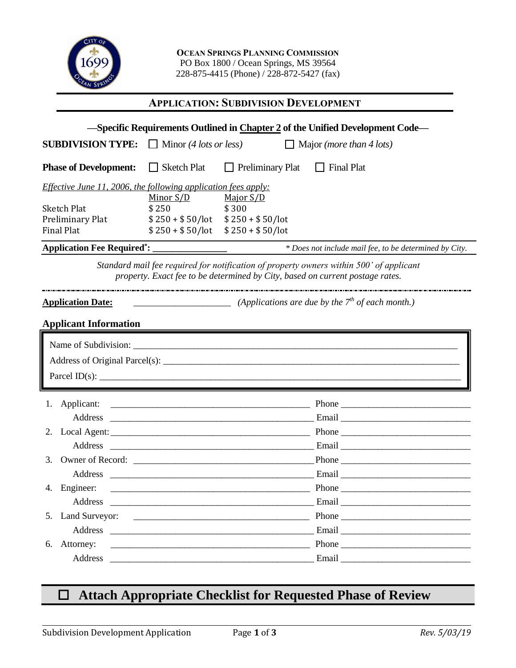

**OCEAN SPRINGS PLANNING COMMISSION** PO Box 1800 / Ocean Springs, MS 39564 228-875-4415 (Phone) / 228-872-5427 (fax)

## **APPLICATION: SUBDIVISION DEVELOPMENT**

| -Specific Requirements Outlined in Chapter 2 of the Unified Development Code-                                                                                            |                                                                                                                                                                                                                                                                                                                                                                                                                      |                                           |                                                                                                                                                                                                                                                                                                                                                                                                               |  |  |  |
|--------------------------------------------------------------------------------------------------------------------------------------------------------------------------|----------------------------------------------------------------------------------------------------------------------------------------------------------------------------------------------------------------------------------------------------------------------------------------------------------------------------------------------------------------------------------------------------------------------|-------------------------------------------|---------------------------------------------------------------------------------------------------------------------------------------------------------------------------------------------------------------------------------------------------------------------------------------------------------------------------------------------------------------------------------------------------------------|--|--|--|
| <b>SUBDIVISION TYPE:</b>                                                                                                                                                 | $\Box$ Minor (4 lots or less)                                                                                                                                                                                                                                                                                                                                                                                        |                                           | $\Box$ Major ( <i>more than 4 lots</i> )                                                                                                                                                                                                                                                                                                                                                                      |  |  |  |
| <b>Phase of Development:</b>                                                                                                                                             | $\Box$ Sketch Plat                                                                                                                                                                                                                                                                                                                                                                                                   | $\Box$ Preliminary Plat $\Box$ Final Plat |                                                                                                                                                                                                                                                                                                                                                                                                               |  |  |  |
| <i>Effective June 11, 2006, the following application fees apply:</i>                                                                                                    |                                                                                                                                                                                                                                                                                                                                                                                                                      |                                           |                                                                                                                                                                                                                                                                                                                                                                                                               |  |  |  |
| <b>Sketch Plat</b>                                                                                                                                                       | Minor S/D<br>\$250                                                                                                                                                                                                                                                                                                                                                                                                   | Major S/D<br>\$300                        |                                                                                                                                                                                                                                                                                                                                                                                                               |  |  |  |
| Preliminary Plat                                                                                                                                                         | $$250 + $50/lot$ $$250 + $50/lot$                                                                                                                                                                                                                                                                                                                                                                                    |                                           |                                                                                                                                                                                                                                                                                                                                                                                                               |  |  |  |
| <b>Final Plat</b>                                                                                                                                                        | $$250 + $50/lot$                                                                                                                                                                                                                                                                                                                                                                                                     | $$250 + $50/lot$                          |                                                                                                                                                                                                                                                                                                                                                                                                               |  |  |  |
| <b>Application Fee Required*:</b>                                                                                                                                        |                                                                                                                                                                                                                                                                                                                                                                                                                      |                                           | * Does not include mail fee, to be determined by City.                                                                                                                                                                                                                                                                                                                                                        |  |  |  |
| Standard mail fee required for notification of property owners within 500' of applicant<br>property. Exact fee to be determined by City, based on current postage rates. |                                                                                                                                                                                                                                                                                                                                                                                                                      |                                           |                                                                                                                                                                                                                                                                                                                                                                                                               |  |  |  |
| <b>Application Date:</b>                                                                                                                                                 | $\frac{1}{\sqrt{1-\frac{1}{n}}\sqrt{1-\frac{1}{n}}\sqrt{1-\frac{1}{n}}\sqrt{1-\frac{1}{n}}\sqrt{1-\frac{1}{n}}\sqrt{1-\frac{1}{n}}\sqrt{1-\frac{1}{n}}\sqrt{1-\frac{1}{n}}\sqrt{1-\frac{1}{n}}\sqrt{1-\frac{1}{n}}\sqrt{1-\frac{1}{n}}\sqrt{1-\frac{1}{n}}\sqrt{1-\frac{1}{n}}\sqrt{1-\frac{1}{n}}\sqrt{1-\frac{1}{n}}\sqrt{1-\frac{1}{n}}\sqrt{1-\frac{1}{n}}\sqrt{1-\frac{1}{n}}\sqrt{1-\frac{1}{n}}\sqrt{1-\frac$ |                                           |                                                                                                                                                                                                                                                                                                                                                                                                               |  |  |  |
| <b>Applicant Information</b><br><u> 1989 - Johann Stoff, deutscher Stoff, der Stoff, der Stoff, der Stoff, der Stoff, der Stoff, der Stoff, der S</u>                    |                                                                                                                                                                                                                                                                                                                                                                                                                      |                                           |                                                                                                                                                                                                                                                                                                                                                                                                               |  |  |  |
|                                                                                                                                                                          |                                                                                                                                                                                                                                                                                                                                                                                                                      |                                           |                                                                                                                                                                                                                                                                                                                                                                                                               |  |  |  |
|                                                                                                                                                                          |                                                                                                                                                                                                                                                                                                                                                                                                                      |                                           | Parcel ID(s): $\qquad \qquad$                                                                                                                                                                                                                                                                                                                                                                                 |  |  |  |
|                                                                                                                                                                          |                                                                                                                                                                                                                                                                                                                                                                                                                      |                                           |                                                                                                                                                                                                                                                                                                                                                                                                               |  |  |  |
|                                                                                                                                                                          |                                                                                                                                                                                                                                                                                                                                                                                                                      |                                           |                                                                                                                                                                                                                                                                                                                                                                                                               |  |  |  |
|                                                                                                                                                                          |                                                                                                                                                                                                                                                                                                                                                                                                                      |                                           |                                                                                                                                                                                                                                                                                                                                                                                                               |  |  |  |
| Address                                                                                                                                                                  |                                                                                                                                                                                                                                                                                                                                                                                                                      |                                           |                                                                                                                                                                                                                                                                                                                                                                                                               |  |  |  |
| 3.                                                                                                                                                                       |                                                                                                                                                                                                                                                                                                                                                                                                                      |                                           |                                                                                                                                                                                                                                                                                                                                                                                                               |  |  |  |
|                                                                                                                                                                          |                                                                                                                                                                                                                                                                                                                                                                                                                      |                                           |                                                                                                                                                                                                                                                                                                                                                                                                               |  |  |  |
| 4. Engineer:                                                                                                                                                             |                                                                                                                                                                                                                                                                                                                                                                                                                      |                                           |                                                                                                                                                                                                                                                                                                                                                                                                               |  |  |  |
| Address                                                                                                                                                                  | <u> 1980 - John Stein, Amerikaansk politiker (</u> † 1920)                                                                                                                                                                                                                                                                                                                                                           |                                           |                                                                                                                                                                                                                                                                                                                                                                                                               |  |  |  |
| 5.                                                                                                                                                                       |                                                                                                                                                                                                                                                                                                                                                                                                                      |                                           | Phone                                                                                                                                                                                                                                                                                                                                                                                                         |  |  |  |
|                                                                                                                                                                          |                                                                                                                                                                                                                                                                                                                                                                                                                      |                                           |                                                                                                                                                                                                                                                                                                                                                                                                               |  |  |  |
| 6. Attorney:                                                                                                                                                             |                                                                                                                                                                                                                                                                                                                                                                                                                      |                                           | Phone $\frac{1}{\sqrt{1-\frac{1}{2}}\sqrt{1-\frac{1}{2}}\sqrt{1-\frac{1}{2}}\sqrt{1-\frac{1}{2}}\sqrt{1-\frac{1}{2}}\sqrt{1-\frac{1}{2}}\sqrt{1-\frac{1}{2}}\sqrt{1-\frac{1}{2}}\sqrt{1-\frac{1}{2}}\sqrt{1-\frac{1}{2}}\sqrt{1-\frac{1}{2}}\sqrt{1-\frac{1}{2}}\sqrt{1-\frac{1}{2}}\sqrt{1-\frac{1}{2}}\sqrt{1-\frac{1}{2}}\sqrt{1-\frac{1}{2}}\sqrt{1-\frac{1}{2}}\sqrt{1-\frac{1}{2}}\sqrt{1-\frac{1}{2}}$ |  |  |  |
|                                                                                                                                                                          |                                                                                                                                                                                                                                                                                                                                                                                                                      |                                           |                                                                                                                                                                                                                                                                                                                                                                                                               |  |  |  |

## **Attach Appropriate Checklist for Requested Phase of Review** \_  $\mathfrak{c}$ \_

 $\overline{a}$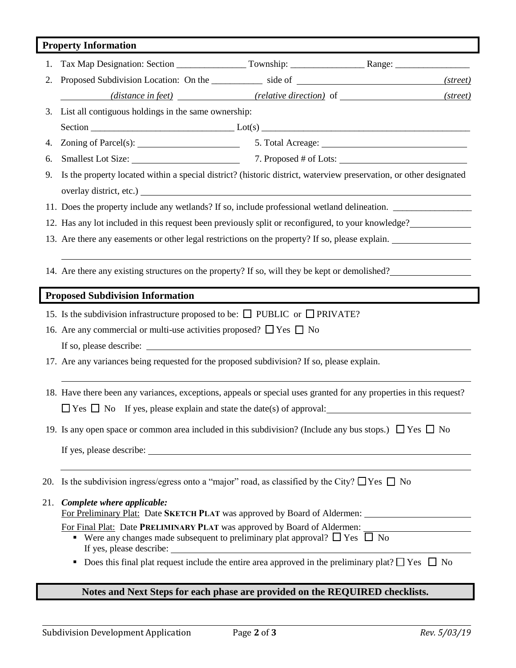|                                         | <b>Property Information</b>                                                                                        |  |          |  |  |
|-----------------------------------------|--------------------------------------------------------------------------------------------------------------------|--|----------|--|--|
| 1.                                      |                                                                                                                    |  |          |  |  |
| 2.                                      | Proposed Subdivision Location: On the ____________ side of ______________________                                  |  | (street) |  |  |
|                                         | ( <i>distance in feet</i> ) ( <i>relative direction</i> ) of                                                       |  | (street) |  |  |
| 3.                                      | List all contiguous holdings in the same ownership:                                                                |  |          |  |  |
|                                         |                                                                                                                    |  |          |  |  |
| 4.                                      | Zoning of Parcel(s): 5. Total Acreage: 5. Total Acreage:                                                           |  |          |  |  |
| 6.                                      |                                                                                                                    |  |          |  |  |
| 9.                                      | Is the property located within a special district? (historic district, waterview preservation, or other designated |  |          |  |  |
|                                         |                                                                                                                    |  |          |  |  |
|                                         | 11. Does the property include any wetlands? If so, include professional wetland delineation.                       |  |          |  |  |
|                                         | 12. Has any lot included in this request been previously split or reconfigured, to your knowledge?                 |  |          |  |  |
|                                         | 13. Are there any easements or other legal restrictions on the property? If so, please explain.                    |  |          |  |  |
|                                         |                                                                                                                    |  |          |  |  |
|                                         | 14. Are there any existing structures on the property? If so, will they be kept or demolished?                     |  |          |  |  |
| <b>Proposed Subdivision Information</b> |                                                                                                                    |  |          |  |  |
|                                         | 15. Is the subdivision infrastructure proposed to be: $\Box$ PUBLIC or $\Box$ PRIVATE?                             |  |          |  |  |
|                                         | 16. Are any commercial or multi-use activities proposed? $\Box$ Yes $\Box$ No                                      |  |          |  |  |
|                                         |                                                                                                                    |  |          |  |  |
|                                         | 17. Are any variances being requested for the proposed subdivision? If so, please explain.                         |  |          |  |  |
|                                         |                                                                                                                    |  |          |  |  |
|                                         | 18. Have there been any variances, exceptions, appeals or special uses granted for any properties in this request? |  |          |  |  |
|                                         | $\Box$ Yes $\Box$ No If yes, please explain and state the date(s) of approval:                                     |  |          |  |  |
|                                         | 19. Is any open space or common area included in this subdivision? (Include any bus stops.) $\Box$ Yes $\Box$ No   |  |          |  |  |
|                                         |                                                                                                                    |  |          |  |  |
|                                         |                                                                                                                    |  |          |  |  |
|                                         | 20. Is the subdivision ingress/egress onto a "major" road, as classified by the City? $\Box$ Yes $\Box$ No         |  |          |  |  |
| 21.                                     | Complete where applicable:<br>For Preliminary Plat: Date SKETCH PLAT was approved by Board of Aldermen:            |  |          |  |  |
|                                         | For Final Plat: Date PRELIMINARY PLAT was approved by Board of Aldermen:                                           |  |          |  |  |
|                                         | • Were any changes made subsequent to preliminary plat approval? $\Box$ Yes $\Box$ No<br>If yes, please describe:  |  |          |  |  |
|                                         | Does this final plat request include the entire area approved in the preliminary plat? $\Box$ Yes $\Box$ No        |  |          |  |  |
|                                         |                                                                                                                    |  |          |  |  |

## **Notes and Next Steps for each phase are provided on the REQUIRED checklists.**